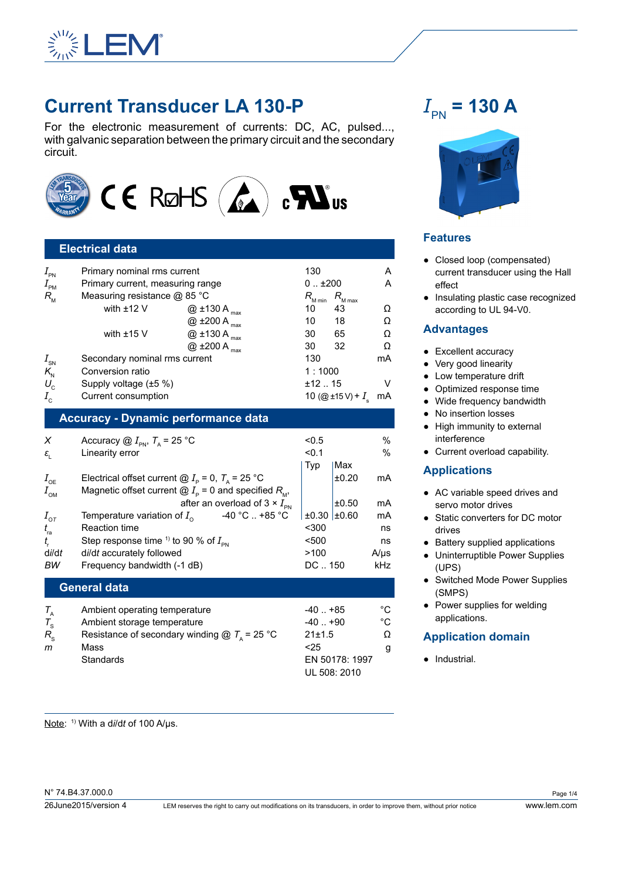

# **Current Transducer LA 130-P**

For the electronic measurement of currents: DC, AC, pulsed..., with galvanic separation between the primary circuit and the secondary circuit.



# **Electrical data**

| $I_{\tiny{\sf PN}}$ | Primary nominal rms current      |                               | 130                 |                            | Α  |
|---------------------|----------------------------------|-------------------------------|---------------------|----------------------------|----|
| $I_{_{\sf PM}}$     | Primary current, measuring range |                               | 01200               |                            | A  |
| $R_{\rm M}$         | Measuring resistance @ 85 °C     |                               | $R_{_{\rm M\,min}}$ | $R_{_{\rm M\, max}}$       |    |
|                     | with $±12$ V                     | $@$ ±130 A $_{max}$           | 10                  | 43                         | Ω  |
|                     |                                  | $@$ ±200 A $_{max}$           | 10                  | 18                         | Ω  |
|                     | with $±15$ V                     | $@$ ±130 A $_{max}$           | 30                  | 65                         | Ω  |
|                     |                                  | @ $\pm 200$ A $_{\text{max}}$ | 30                  | 32                         | Ω  |
| $I_{\rm SN}$        | Secondary nominal rms current    |                               | 130                 |                            | mA |
| $K_{\rm N}$         | Conversion ratio                 |                               | 1:1000              |                            |    |
| $U_{\rm c}$         | Supply voltage (±5 %)            |                               | ±12.15              |                            | v  |
| $I_{\rm c}$         | Current consumption              |                               |                     | 10 (@ ±15 V) + $I_{\rm s}$ | mA |

## **Accuracy - Dynamic performance data**

| X                              | Accuracy $\textcircled{a}$ $I_{\text{PN}}$ , $T_{\text{A}}$ = 25 °C | < 0.5       |       | $\%$      |
|--------------------------------|---------------------------------------------------------------------|-------------|-------|-----------|
| $\varepsilon_{\rm i}$          | Linearity error                                                     | < 0.1       |       | $\%$      |
|                                |                                                                     | Typ         | Max   |           |
| $I_{\rm{OE}}$                  | Electrical offset current @ $I_{\rm p}$ = 0, $T_{\rm A}$ = 25 °C    |             | ±0.20 | mA        |
| $I_{\text{OM}}$                | Magnetic offset current $@I_{\rho}=0$ and specified $R_{\mu}$ ,     |             |       |           |
|                                | after an overload of $3 \times I_{\text{PN}}$                       |             | ±0.50 | mA        |
| $I_{\text{or}}$                | -40 °C  +85 °C<br>Temperature variation of $I_{\alpha}$             | ±0.30 ±0.60 |       | mA        |
| $t_{\scriptscriptstyle\rm ra}$ | <b>Reaction time</b>                                                | $300$       |       | ns        |
| $t_{\scriptscriptstyle\! F}$   | Step response time <sup>1)</sup> to 90 % of $I_{\text{pN}}$         | $500$       |       | ns        |
| di/dt                          | di/dt accurately followed                                           | >100        |       | $A/\mu s$ |
| ВW                             | Frequency bandwidth (-1 dB)                                         | DC  150     |       | kHz       |
|                                | <b>General data</b>                                                 |             |       |           |
|                                |                                                                     |             |       |           |

|             | Ambient operating temperature                                   | $-40$ . $+85$  | °C |
|-------------|-----------------------------------------------------------------|----------------|----|
|             | Ambient storage temperature                                     | -40  +90       | °C |
| $R_{\rm e}$ | Resistance of secondary winding $\textcircled{a}$ $T_a$ = 25 °C | 21±1.5         | O  |
| m           | Mass                                                            | < 25           |    |
|             | Standards                                                       | EN 50178: 1997 |    |
|             |                                                                 | UL 508: 2010   |    |

# $I_{\text{PN}}$  = 130 A



## **Features**

- Closed loop (compensated) current transducer using the Hall effect
- Insulating plastic case recognized according to UL 94-V0.

#### **Advantages**

- Excellent accuracy
- Very good linearity
- Low temperature drift
- Optimized response time
- Wide frequency bandwidth
- No insertion losses
- High immunity to external interference
- Current overload capability.

## **Applications**

- AC variable speed drives and servo motor drives
- Static converters for DC motor drives
- Battery supplied applications
- Uninterruptible Power Supplies (UPS)
- Switched Mode Power Supplies (SMPS)
- Power supplies for welding applications.

## **Application domain**

● Industrial.

Note: 1) With a d*i*/d*t* of 100 A/µs.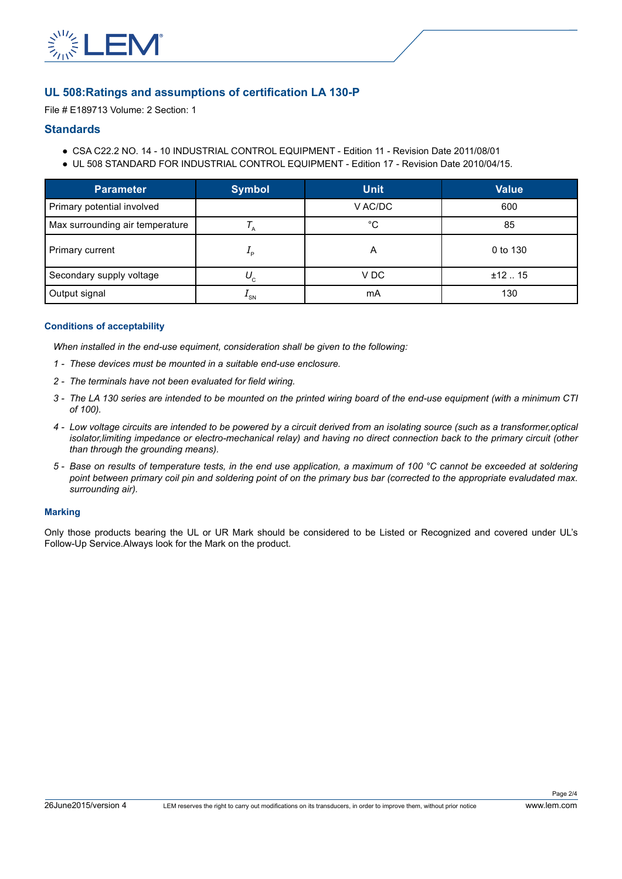

## **UL 508:Ratings and assumptions of certification LA 130-P**

File # E189713 Volume: 2 Section: 1

#### **Standards**

- CSA C22.2 NO. 14 10 INDUSTRIAL CONTROL EQUIPMENT Edition 11 Revision Date 2011/08/01
- UL 508 STANDARD FOR INDUSTRIAL CONTROL EQUIPMENT Edition 17 Revision Date 2010/04/15.

| <b>Parameter</b>                | <b>Symbol</b> | <b>Unit</b> | <b>Value</b> |
|---------------------------------|---------------|-------------|--------------|
| Primary potential involved      |               | V AC/DC     | 600          |
| Max surrounding air temperature |               | °C          | 85           |
| Primary current                 | ە ∸           | A           | 0 to 130     |
| Secondary supply voltage        | $U_{\rm c}$   | V DC        | ±12.15       |
| Output signal                   | $-$ SN        | mA          | 130          |

#### **Conditions of acceptability**

*When installed in the end-use equiment, consideration shall be given to the following:*

- *1 - These devices must be mounted in a suitable end-use enclosure.*
- *2 - The terminals have not been evaluated for field wiring.*
- *3 - The LA 130 series are intended to be mounted on the printed wiring board of the end-use equipment (with a minimum CTI of 100).*
- *4 - Low voltage circuits are intended to be powered by a circuit derived from an isolating source (such as a transformer,optical isolator,limiting impedance or electro-mechanical relay) and having no direct connection back to the primary circuit (other than through the grounding means).*
- *5 - Base on results of temperature tests, in the end use application, a maximum of 100 °C cannot be exceeded at soldering point between primary coil pin and soldering point of on the primary bus bar (corrected to the appropriate evaludated max. surrounding air).*

#### **Marking**

Only those products bearing the UL or UR Mark should be considered to be Listed or Recognized and covered under UL's Follow-Up Service.Always look for the Mark on the product.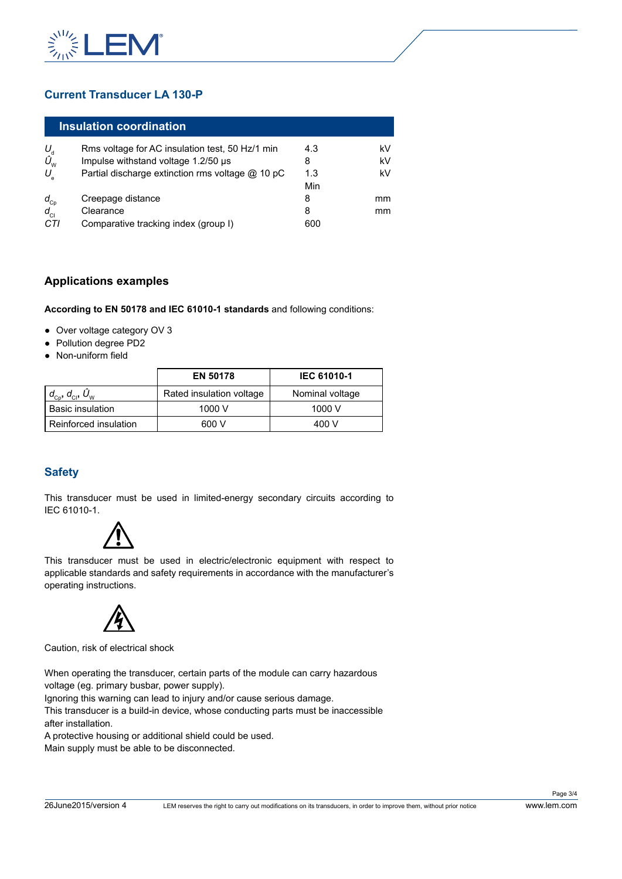

# **Current Transducer LA 130-P**

|                               | Insulation coordination                          |     |    |
|-------------------------------|--------------------------------------------------|-----|----|
| $U_{\rm d}$                   | Rms voltage for AC insulation test, 50 Hz/1 min  | 4.3 | kV |
| $\hat{U}_{_{\text{\tiny W}}}$ | Impulse withstand voltage 1.2/50 µs              | 8   | kV |
| $U_{\rm e}$                   | Partial discharge extinction rms voltage @ 10 pC | 1.3 | kV |
|                               |                                                  | Min |    |
|                               | Creepage distance                                | 8   | mm |
| $\frac{d_{Cp}}{d_{Cl}}$       | Clearance                                        | 8   | mm |
| CTI                           | Comparative tracking index (group I)             | 600 |    |

## **Applications examples**

**According to EN 50178 and IEC 61010-1 standards** and following conditions:

- Over voltage category OV 3
- Pollution degree PD2
- Non-uniform field

|                                                          | <b>EN 50178</b>          | <b>IEC 61010-1</b> |
|----------------------------------------------------------|--------------------------|--------------------|
| $d_{\text{cp}}$ , $d_{\text{cl}}$ , $\hat{U}_{\text{w}}$ | Rated insulation voltage | Nominal voltage    |
| l Basic insulation                                       | 1000 V                   | 1000 V             |
| l Reinforced insulation                                  | 600 V                    | 400 V              |

# **Safety**

This transducer must be used in limited-energy secondary circuits according to IEC 61010-1.



This transducer must be used in electric/electronic equipment with respect to applicable standards and safety requirements in accordance with the manufacturer's operating instructions.



Caution, risk of electrical shock

When operating the transducer, certain parts of the module can carry hazardous voltage (eg. primary busbar, power supply).

Ignoring this warning can lead to injury and/or cause serious damage.

This transducer is a build-in device, whose conducting parts must be inaccessible after installation.

A protective housing or additional shield could be used.

Main supply must be able to be disconnected.